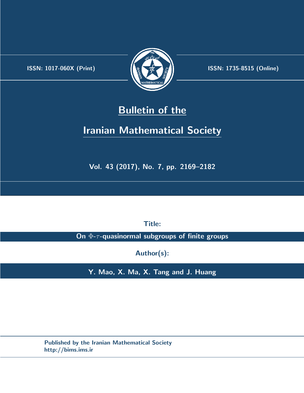.



**ISSN:** 1017-060X (Print)  $\left(\frac{1}{2}\right)$   $\frac{1}{2}$   $\frac{1}{2}$   $\frac{1}{2}$  **ISSN:** 1735-8515 (Online)

## **Bulletin of the**

# **Iranian Mathematical Society**

**Vol. 43 (2017), No. 7, pp. 2169–2182**

**Title:**

**On** Φ**-***τ* **-quasinormal subgroups of finite groups**

**Author(s):**

**Y. Mao, X. Ma, X. Tang and J. Huang**

**Published by the Iranian Mathematical Society http://bims.ims.ir**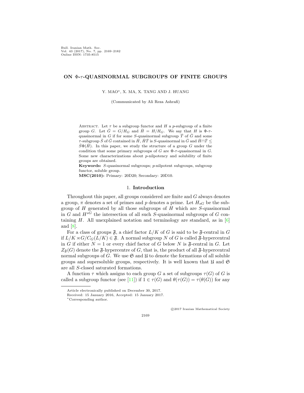Bull. Iranian Math. Soc. Vol. 43 (2017), No. 7, pp. 2169–2182 Online ISSN: 1735-8515

#### **ON** Φ**-***τ* **-QUASINORMAL SUBGROUPS OF FINITE GROUPS**

Y. MAO*∗*, X. MA, X. TANG AND J. HUANG

(Communicated by Ali Reza Ashrafi)

ABSTRACT. Let  $\tau$  be a subgroup functor and  $H$  a *p*-subgroup of a finite group *G*. Let  $\bar{G} = G/H_G$  and  $\bar{H} = H/H_G$ . We say that *H* is  $\Phi$ -*τ*quasinormal in *G* if for some *S*-quasinormal subgroup  $\overline{T}$  of  $\overline{G}$  and some *τ*-subgroup  $\bar{S}$  of  $\bar{G}$  contained in  $\bar{H}$ ,  $\bar{H}\bar{T}$  is *S*-quasinormal in  $\bar{G}$  and  $\bar{H} \cap \bar{T} \leq$  $\bar{S}\Phi(\bar{H})$ . In this paper, we study the structure of a group *G* under the condition that some primary subgroups of *G* are Φ-*τ*-quasinormal in *G*. Some new characterizations about *p*-nilpotency and solubility of finite groups are obtained.

**Keywords:** *S*-quasinormal subgroups; *p*-nilpotent subgroups, subgroup functor, soluble group.

**MSC(2010):** Primary: 20D20; Secondary: 20D10.

#### 1. **Introduction**

Throughout this paper, all groups considered are finite and *G* always denotes a group,  $\pi$  denotes a set of primes and  $p$  denotes a prime. Let  $H_{sG}$  be the subgroup of *H* generated by all those subgroups of *H* which are *S*-quasinormal in  $G$  and  $H^{s\tilde{G}}$  the intersection of all such *S*-quasinormal subgroups of  $G$  containing  $H$ . All unexplained notation and terminology are standard, as in  $[6]$  $[6]$ and [\[8](#page-14-1)].

For a class of groups  $\mathfrak{F}$ , a chief factor  $L/K$  of *G* is said to be  $\mathfrak{F}$ -central in *G* if  $L/K \rtimes G/C_G(L/K) \in \mathfrak{F}$ . A normal subgroup *N* of *G* is called  $\mathfrak{F}$ -hypercentral in *G* if either  $N = 1$  or every chief factor of *G* below *N* is  $\mathfrak{F}\text{-central}$  in *G*. Let  $Z_{\mathfrak{F}}(G)$  denote the  $\mathfrak{F}$ -hypercentre of *G*, that is, the product of all  $\mathfrak{F}$ -hypercentral normal subgroups of  $G$ . We use  $\mathfrak{S}$  and  $\mathfrak{U}$  to denote the formations of all soluble groups and supersoluble groups, respectively. It is well known that  $\mathfrak U$  and  $\mathfrak S$ are all *S*-closed saturated formations.

A function  $\tau$  which assigns to each group *G* a set of subgroups  $\tau(G)$  of *G* is called a subgroup functor (see [\[11](#page-14-2)]) if  $1 \in \tau(G)$  and  $\theta(\tau(G)) = \tau(\theta(G))$  for any

*⃝*c 2017 Iranian Mathematical Society

2169

Article electronically published on December 30, 2017.

Received: 15 January 2016, Accepted: 15 January 2017.

*<sup>∗</sup>*Corresponding author.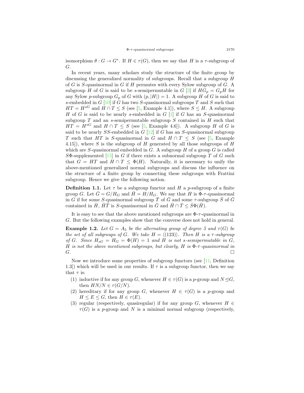isomorphism  $\theta: G \to G^*$ . If  $H \in \tau(G)$ , then we say that *H* is a *τ*-subgroup of *G*.

In recent years, many scholars study the structure of the finite group by discussing the generalized normality of subgroups. Recall that a subgroup *H* of *G* is *S*-quasinormal in *G* if *H* permutes with every Sylow subgroup of *G*. A subgroup *H* of *G* is said to be *s*-semipermutable in *G* [\[3](#page-14-3)] if  $HG_p = G_pH$  for any Sylow *p*-subgroup  $G_p$  of *G* with  $(p, |H|) = 1$ . A subgroup *H* of *G* is said to *s*-embedded in *G* [\[10](#page-14-4)] if *G* has two *S*-quasinormal subgroups *T* and *S* such that  $HT = H^{sG}$  and  $H \cap T \leq S$  (see [[5,](#page-14-5) Example 4.1]), where  $S \leq H$ . A subgroup *H* of *G* is said to be nearly *s*-embedded in *G* [[1](#page-13-0)] if *G* has an *S*-quasinormal subgroup *T* and an *s*-semipermutable subgroup *S* contained in *H* such that  $HT = H^{sG}$  and  $H \cap T \leq S$  (see [\[5](#page-14-5), Example 4.6]). A subgroup *H* of *G* is said to be nearly *SS*-embedded in *G* [[12\]](#page-14-6) if *G* has an *S*-quasinormal subgroup *T* such that *HT* is *S*-quasinormal in *G* and  $H \cap T \leq S$  (see [[5,](#page-14-5) Example 4.15]), where *S* is the subgroup of *H* generated by all those subgroups of *H* which are *S*-quasinormal embedded in *G*. A subgroup *H* of a group *G* is called *S*Φ-supplemented [\[15](#page-14-7)] in *G* if there exists a subnormal subgroup *T* of *G* such that  $G = HT$  and  $H \cap T \leq \Phi(H)$ . Naturally, it is necessary to unify the above-mentioned generalized normal subgroups and discuss the influence on the structure of a finite group by connecting these subgroups with Frattini subgroup. Hence we give the following notion.

**Definition 1.1.** Let  $\tau$  be a subgroup functor and *H* a *p*-subgroup of a finite group *G*. Let  $\bar{G} = G/H_G$  and  $\bar{H} = H/H_G$ . We say that *H* is  $\Phi$ -*τ*-quasinormal in *G* if for some *S*-quasinormal subgroup  $\overline{T}$  of  $\overline{G}$  and some  $\tau$ -subgroup  $\overline{S}$  of  $\overline{G}$ contained in  $\bar{H}$ ,  $\bar{H}\bar{T}$  is *S*-quasinormal in  $\bar{G}$  and  $\bar{H} \cap \bar{T} \leq \bar{S}\Phi(\bar{H})$ .

It is easy to see that the above mentioned subgroups are Φ-*τ* -quasinormal in *G*. But the following examples show that the converse does not hold in general.

**Example 1.2.** *Let*  $G = A_5$  *be the alternating group of degree 5 and*  $\tau(G)$  *be the set of all subgroups of G. We take*  $H = \langle (123) \rangle$ *. Then H is a*  $\tau$ -subgroup *of G.* Since  $H_{SG} = H_G = \Phi(H) = 1$  *and H is not s-semipermutable in G*, *H is not the above mentioned subgroups, but clearly, H is* Φ*-τ -quasinormal in G.* □

Now we introduce some properties of subgroup functors (see [[11](#page-14-2), Definition 1.3) which will be used in our results. If  $\tau$  is a subgroup functor, then we say that  $\tau$  is:

- (1) inductive if for any group *G*, whenever  $H \in \tau(G)$  is a *p*-group and  $N \trianglelefteq G$ , then  $HN/N \in \tau(G/N)$ .
- (2) hereditary if for any group *G*, whenever  $H \in \tau(G)$  is a *p*-group and  $H \leq E \leq G$ , then  $H \in \tau(E)$ .
- (3) regular (respectively, quasiregular) if for any group  $G$ , whenever  $H \in$  $\tau(G)$  is a *p*-group and *N* is a minimal normal subgroup (respectively,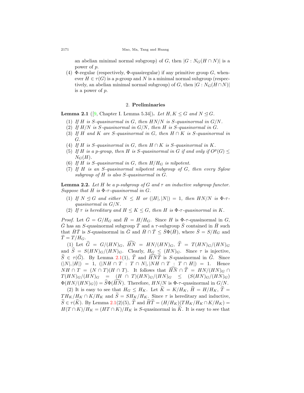an abelian minimal normal subgroup) of *G*, then  $|G: N_G(H \cap N)|$  is a power of *p*.

(4) Φ-regular (respectively, Φ-quasiregular) if any primitive group *G*, whenever  $H \in \tau(G)$  is a *p*-group and *N* is a minimal normal subgroup (respectively, an abelian minimal normal subgroup) of *G*, then  $|G : N_G(H \cap N)|$ is a power of *p*.

#### 2. **Preliminaries**

<span id="page-3-0"></span>**Lemma 2.1** ([\[9](#page-14-8), Chapter I. Lemma 5.34]). *Let*  $H, K \leq G$  *and*  $N \leq G$ .

- (1) *If H is S-quasinormal in G, then HN/N is S-quasinormal in G/N.*
- (2) *If H/N is S-quasinormal in G/N, then H is S-quasinormal in G.*
- (3) *If*  $H$  *and*  $K$  *are*  $S$ *-quasinormal in*  $G$ *, then*  $H \cap K$  *is*  $S$ *-quasinormal in G.*
- (4) If  $H$  is  $S$ -quasinormal in  $G$ , then  $H \cap K$  is  $S$ -quasinormal in  $K$ .
- (5) If *H* is a *p*-group, then *H* is *S*-quasinormal in *G* if and only if  $O^p(G) \le$  $N_G(H)$ *.*
- (6) If  $H$  is  $S$ -quasinormal in  $G$ , then  $H/H_G$  is nilpotent.
- (7) *If H is an S-quasinormal nilpotent subgroup of G, then every Sylow subgroup of H is also S-quasinormal in G.*

<span id="page-3-1"></span>**Lemma 2.2.** Let  $H$  be a p-subgroup of  $G$  and  $\tau$  an inductive subgroup functor. *Suppose that*  $H$  *is*  $\Phi$ - $\tau$ -quasinormal in  $G$ .

- (1) *If*  $N \le G$  *and either*  $N \le H$  *or*  $(|H|, |N|) = 1$ *, then*  $HN/N$  *is*  $\Phi$ - $\tau$ *quasinormal in G/N.*
- (2) *If*  $\tau$  *is hereditary and*  $H \leq K \leq G$ *, then H is*  $\Phi$ - $\tau$ -quasinormal in *K*.

*Proof.* Let  $\bar{G} = G/H_G$  and  $\bar{H} = H/H_G$ . Since *H* is  $\Phi$ -*τ*-quasinormal in *G*,  $\bar{G}$  has an *S*-quasinormal subgroup  $\bar{T}$  and a  $\tau$ -subgroup  $\bar{S}$  contained in  $\bar{H}$  such that  $\bar{H}\bar{T}$  is *S*-quasinormal in  $\bar{G}$  and  $\bar{H} \cap \bar{T} \leq \bar{S}\Phi(\bar{H})$ , where  $\bar{S} = S/H_G$  and  $\bar{T} = T / H_G$ .

 $(1)$  Let  $\hat{G} = G/(HN)_{G}$ ,  $\widehat{HN} = HN/(HN)_{G}$ ,  $\hat{T} = T(HN)_{G}/(HN)_{G}$ and  $\hat{S} = S(HN)_{G}/(HN)_{G}$ . Clearly,  $H_G \leq (HN)_{G}$ . Since  $\tau$  is injective,  $\widehat{S} \in \tau(\widehat{G})$ . By Lemma [2.1\(](#page-3-0)1),  $\widehat{T}$  and  $\widehat{H}N\widehat{T}$  is *S*-quasinormal in  $\widehat{G}$ . Since  $(|N|, |H|) = 1$ ,  $(|NH \cap T : T \cap N|, |NH \cap T : T \cap H|) = 1$ . Hence  $NH \cap T = (N \cap T)(H \cap T)$ . It follows that  $\widehat{HN} \cap \widehat{T} = HN/(HN)$   $\cap \cap$  $T(HN)_{G}/(HN)_{G}$  =  $(H \cap T)(HN)_{G}/(HN)_{G}$   $\leq$   $(S(HN)_{G}/(HN)_{G})$  $\Phi(HN/(HN)_{G}) = \widehat{S}\Phi(\widehat{HN})$ . Therefore,  $HN/N$  is  $\Phi$ - $\tau$ -quasinormal in  $G/N$ .

(2) It is easy to see that  $H_G \leq H_K$ . Let  $\widetilde{K} = K/H_K$ ,  $\widetilde{H} = H/H_K$ ,  $\widetilde{T} =$  $TH_K/H_K \cap K/H_K$  and  $\widetilde{S} = SH_K/H_K$ . Since  $\tau$  is hereditary and inductive,  $\widetilde{S} \in \tau(K)$ . By Lemma [2.1\(](#page-3-0)2)(5),  $\widetilde{T}$  and  $\widetilde{HT} = (H/H_K)(TH_K/H_K \cap K/H_K)$  $H(T \cap K)/H_K = (HT \cap K)/H_K$  is *S*-quasinormal in *K*. It is easy to see that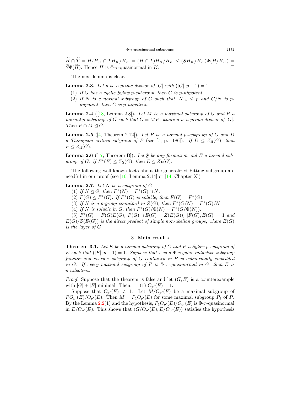$\widetilde{H} \cap \widetilde{T} = H/H_K \cap TH_K/H_K = (H \cap T)H_K/H_K \leq (SH_K/H_K) \Phi(H/H_K) =$  $S\Phi(H)$ . Hence *H* is  $\Phi$ - $\tau$ -quasinormal in *K*.

The next lemma is clear.

<span id="page-4-0"></span>**Lemma 2.3.** *Let p be a prime divisor of*  $|G|$  *with*  $(|G|, p - 1) = 1$ *.* 

- (1) *If G has a cyclic Sylow p-subgroup, then G is p-nilpotent.*
- (2) If N is a normal subgroup of G such that  $|N|_p \leq p$  and  $G/N$  is p*nilpotent, then G is p-nilpotent.*

<span id="page-4-2"></span>**Lemma 2.4** ([[18,](#page-14-9) Lemma 2.8]). Let *M* be a maximal subgroup of *G* and *P* a *normal p*-subgroup of *G* such that  $G = MP$ *, where p* is a prime divisor of  $|G|$ *. Then*  $P \cap M \leq G$ *.* 

<span id="page-4-4"></span>**Lemma 2.5** ( $[4$ , Theorem 2.12)). Let P be a normal p-subgroup of G and D *a Thompson critical subgroup of P* (see [\[7](#page-14-11), p. 186]). If  $D \leq Z_{\mathfrak{U}}(G)$ , then  $P \leq Z_{\mathfrak{U}}(G)$ *.* 

<span id="page-4-5"></span>**Lemma 2.6** ([\[17,](#page-14-12) Theorem B]). Let  $\mathfrak{F}$  be any formation and E a normal sub*group of G.* If  $F^*(E) \leq Z_{\mathfrak{F}}(G)$ *, then*  $E \leq Z_{\mathfrak{F}}(G)$ *.* 

The following well-known facts about the generalized Fitting subgroup are needful in our proof (see  $[10, \text{Lemma } 2.14]$  $[10, \text{Lemma } 2.14]$  $[10, \text{Lemma } 2.14]$  or  $[14, \text{Chapter } X]$  $[14, \text{Chapter } X]$ )

<span id="page-4-3"></span>**Lemma 2.7.** *Let*  $N$  *be a subgroup of*  $G$ *.* 

 $(H)$  *If*  $N \leq G$ *, then*  $F^*(N) = F^*(G) \cap N$ *.* 

(2)  $F(G) \leq F^*(G)$ . If  $F^*(G)$  is soluble, then  $F(G) = F^*(G)$ .

(3) If *N* is a *p*-group contained in  $Z(G)$ , then  $F^*(G/N) = F^*(G)/N$ .

(4) If *N* is soluble in *G*, then  $F^*(G)/\Phi(N) = F^*(G/\Phi(N))$ .

 $(F^*(G) = F(G)E(G), F(G) \cap E(G) = Z(E(G)), [F(G), E(G)] = 1$  and  $E(G)/Z(E(G))$  *is the direct product of simple non-abelian groups, where*  $E(G)$ *is the layer of G.*

#### 3. **Main results**

<span id="page-4-1"></span>**Theorem 3.1.** *Let E be a normal subgroup of G and P a Sylow p-subgroup of E* such that  $(|E|, p-1) = 1$ . Suppose that  $\tau$  is a  $\Phi$ -regular inductive subgroup *functor and every τ -subgroup of G contained in P is subnormally embedded in G. If every maximal subgroup of P is* Φ*-τ -quasinormal in G, then E is p-nilpotent.*

*Proof.* Suppose that the theorem is false and let  $(G, E)$  is a counterexample with  $|G| + |E|$  minimal. Then: (1)  $O_{p'}(E) = 1$ .

Suppose that  $O_{p'}(E) \neq 1$ . Let  $M/O_{p'}(E)$  be a maximal subgroup of  $PO_{p'}(E)/O_{p'}(E)$ . Then  $M = P_1O_{p'}(E)$  for some maximal subgroup  $P_1$  of  $P$ . By the Lemma [2.2](#page-3-1)(1) and the hypothesis,  $P_1O_{p'}(E)/O_{p'}(E)$  is  $\Phi$ - $\tau$ -quasinormal in  $E/O_{p'}(E)$ . This shows that  $(G/O_{p'}(E), E/O_{p'}(E))$  satisfies the hypothesis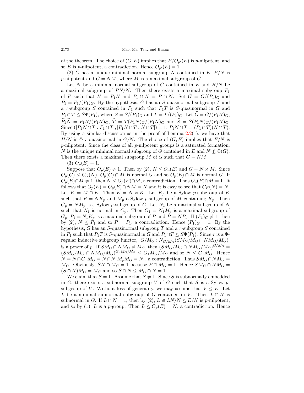of the theorem. The choice of  $(G, E)$  implies that  $E/O_{p'}(E)$  is *p*-nilpotent, and so *E* is *p*-nilpotent, a contradiction. Hence  $O_{p'}(E) = 1$ .

(2) *G* has a unique minimal normal subgroup *N* contained in *E*, *E/N* is *p*-nilpotent and  $G = NM$ , where *M* is a maximal subgroup of *G*.

Let  $N$  be a minimal normal subgroup of  $G$  contained in  $E$  and  $H/N$  be a maximal subgroup of  $PN/N$ . Then there exists a maximal subgroup  $P_1$ of *P* such that  $H = P_1N$  and  $P_1 \cap N = P \cap N$ . Set  $\overline{G} = G/(P_1)_G$  and  $\bar{P}_1 = P_1/(P_1)_G$ . By the hypothesis,  $\bar{G}$  has an *S*-quasinormal subgroup  $\bar{T}$  and a  $\tau$ -subgroup  $\overline{S}$  contained in  $\overline{P}_1$  such that  $\overline{P}_1\overline{T}$  is *S*-quasinormal in  $\overline{G}$  and  $\overline{P_1} \cap \overline{T} \leq \overline{S} \Phi(\overline{P_1})$ , where  $\overline{S} = S/(P_1)_G$  and  $\overline{T} = T/(P_1)_G$ . Let  $\widehat{G} = G/(P_1 N)_G$ ,  $\widehat{P_1N} = P_1N/(P_1N)_G$ ,  $\widehat{T} = T(P_1N)_G/(P_1N)_G$  and  $\widehat{S} = S(P_1N)_G/(P_1N)_G$ . Since  $(|P_1N \cap T : P_1 \cap T|, |P_1N \cap T : N \cap T|) = 1, P_1N \cap T = (P_1 \cap T)(N \cap T).$ By using a similar discussion as in the proof of Lemma  $2.2(1)$  $2.2(1)$ , we have that  $H/N$  is  $\Phi$ - $\tau$ -quasinormal in *G/N*. The choice of  $(G, E)$  implies that  $E/N$  is *p*-nilpotent. Since the class of all *p*-nilpotent groups is a saturated formation, *N* is the unique minimal normal subgroup of *G* contained in *E* and  $N \nleq \Phi(G)$ . Then there exists a maximal subgroup *M* of *G* such that *G* = *NM*.

### (3)  $O_p(E) = 1$ .

Suppose that  $O_p(E) \neq 1$ . Then by (2),  $N \leq O_p(E)$  and  $G = N \rtimes M$ . Since  $O_p(G) \leq C_G(N)$ ,  $O_p(G) \cap M$  is normal *G* and so  $O_p(E) \cap M$  is normal *G*. If  $O_p(E) \cap M \neq 1$ , then  $N \leq O_p(E) \cap M$ , a contradiction. Thus  $O_p(E) \cap M = 1$ . It follows that  $O_p(E) = O_p(E) \cap NM = N$  and it is easy to see that  $C_E(N) = N$ . Let  $K = M \cap E$ . Then  $E = N \rtimes K$ . Let  $K_p$  be a Sylow *p*-subgroup of K such that  $P = NK_p$  and  $M_p$  a Sylow *p*-subgroup of *M* containing  $K_p$ . Then  $G_p = NM_p$  is a Sylow *p*-subgroup of *G*. Let  $N_1$  be a maximal subgroup of *N* such that  $N_1$  is normal in  $G_p$ . Then  $G_1 = N_1 M_p$  is a maximal subgroup of  $G_p$ ,  $P_1 = N_1 K_p$  is a maximal subgroup of *P* and  $P = NP_1$ . If  $(P_1)_G \neq 1$ , then by (2),  $N \leq P_1$  and so  $P = P_1$ , a contradiction. Hence  $(P_1)_G = 1$ . By the hypothesis, *G* has an *S*-quasinormal subgroup *T* and a *τ* -subgroup *S* contained in *P*<sub>1</sub> such that *P*<sub>1</sub>*T* is *S*-quasinormal in *G* and  $P_1 \cap T \leq S\Phi(P_1)$ . Since  $\tau$  is a  $\Phi$ regular inductive subgroup functor,  $|G/M_G : N_{G/M_G}(SM_G/M_G \cap NM_G/M_G)|$ is a power of *p*. If  $SM_G \cap NM_G \neq M_G$ , then  $(SM_G/M_G \cap NM_G/M_G)^{G/M_G}$  $(SM_G/M_G \cap NM_G/M_G)^{G_pM_G/M_G} \leq G_1M_G/M_G$  and so  $N \leq G_1M_G$ . Hence  $N = N \cap G_1 M_G = N \cap N_1 M_p M_G = N_1$ , a contradiction. Thus  $S M_G \cap N M_G =$ *M<sub>G</sub>*. Obviously, *SN*  $\cap$  *M<sub>G</sub>* = 1 because  $E \cap M_G = 1$ . Hence  $SM_G \cap NM_G =$  $(S \cap N)M_G = M_G$  and so  $S \cap N \leq M_G \cap N = 1$ .

We claim that  $S = 1$ . Assume that  $S \neq 1$ . Since *S* is subnormally embedded in *G*, there exists a subnormal subgroup *V* of *G* such that *S* is a Sylow *p*subgroup of *V*. Without loss of generality, we may assume that  $V \leq E$ . Let *L* be a minimal subnormal subgroup of *G* contained in *V*. Then  $L \cap N$  is subnormal in *G*. If  $L \cap N = 1$ , then by (2),  $L \cong L N/N \leq E/N$  is *p*-nilpotent, and so by (1), *L* is a *p*-group. Then  $L \leq O_p(E) = N$ , a contradiction. Hence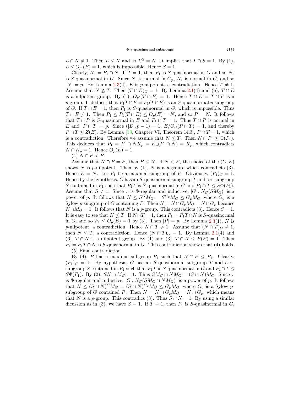$L \cap N \neq 1$ . Then  $L \leq N$  and so  $L^G = N$ . It implies that  $L \cap S = 1$ . By (1),  $L \leq O_{p'}(E) = 1$ , which is impossible. Hence  $S = 1$ .

Clearly,  $N_1 = P_1 \cap N$ . If  $T = 1$ , then  $P_1$  is *S*-quasinormal in *G* and so  $N_1$ is *S*-quasinormal in *G*. Since  $N_1$  is normal in  $G_p$ ,  $N_1$  is normal in *G*, and so  $|N| = p$ . By Lemma [2.3\(](#page-4-0)2), *E* is *p*-nilpotent, a contradiction. Hence  $T \neq 1$ . Assume that  $N \nleq T$ . Then  $(T \cap E)_G = 1$ . By Lemma [2.1](#page-3-0)(4) and (6),  $T \cap E$ is a nilpotent group. By (1),  $O_{p'}(T \cap E) = 1$ . Hence  $T \cap E = T \cap P$  is a *p*-group. It deduces that  $P_1T \cap E = P_1(T \cap E)$  is an *S*-quasinormal *p*-subgroup of *G*. If  $T \cap E = 1$ , then  $P_1$  is *S*-quasinormal in *G*, which is impossible. Thus *T* ∩ *E*  $\neq$  1. Then  $P_1 \leq P_1(T \cap E) \leq O_p(E) = N$ , and so  $P = N$ . It follows that *T*  $\cap$  *P* is *S*-quasinormal in *E* and  $P_1 \cap T = 1$ . Thus *T*  $\cap$  *P* is normal in *E* and  $|P \cap T| = p$ . Since  $(|E|, p - 1) = 1$ ,  $E/C_E(P \cap T) = 1$ , and thereby  $P \cap T \leq Z(E)$ . By Lemma [[13,](#page-14-14) Chapter VI, Theorem 14.3],  $P \cap T = 1$ , which is a contradiction. Therefore we assume that  $N \leq T$ . Then  $N \cap P_1 \leq \Phi(P_1)$ . This deduces that  $P_1 = P_1 \cap NK_p = K_p(P_1 \cap N) = K_p$ , which contradicts *N* ∩  $K_p = 1$ . Hence  $O_p(E) = 1$ .

(4) *N* ∩ *P* < *P*.

Assume that  $N \cap P = P$ , then  $P \leq N$ . If  $N \lt E$ , the choice of the  $(G, E)$ shows *N* is *p*-nilpotent. Then by (1), *N* is a *p*-group, which contradicts (3). Hence  $E = N$ . Let  $P_1$  be a maximal subgroup of P. Obviously,  $(P_1)_G = 1$ . Hence by the hypothesis,  $G$  has an  $S$ -quasinormal subgroup  $T$  and a  $\tau$ -subgroup *S* contained in *P*<sub>1</sub> such that *P*<sub>1</sub>*T* is *S*-quasinormal in *G* and  $P_1 \cap T \leq S\Phi(P_1)$ . Assume that  $S \neq 1$ . Since  $\tau$  is  $\Phi$ -regular and inductive,  $|G : N_G(SM_G)|$  is a power of *p*. It follows that  $N \leq S^G M_G = S^{G_p} M_G \leq G_p M_G$ , where  $G_p$  is a Sylow *p*-subgroup of *G* containing *P*. Then  $N = N \cap G_p M_G = N \cap G_p$  because  $N \cap M_G = 1$ . It follows that *N* is a *p*-group. This contradicts (3). Hence  $S = 1$ . It is easy to see that  $N \nleq T$ . If  $N \cap T = 1$ , then  $P_1 = P_1 T \cap N$  is *S*-quasinormal in *G*, and so  $P_1 \leq O_p(E) = 1$  by (3). Then  $|P| = p$ . By Lemma [2.3\(](#page-4-0)1), *N* is *p*-nilpotent, a contradiction. Hence  $N \cap T \neq 1$ . Assume that  $(N \cap T)G \neq 1$ , then  $N \leq T$ , a contradiction. Hence  $(N \cap T)_G = 1$ . By Lemma [2.1](#page-3-0)(4) and (6),  $T \cap N$  is a nilpotent group. By (1) and (3),  $T \cap N \leq F(E) = 1$ . Then  $P_1 = P_1 T \cap N$  is *S*-quasinormal in *G*. This contradiction shows that (4) holds. (5) Final contradiction.

By (4), *P* has a maximal subgroup  $P_1$  such that  $N \cap P \leq P_1$ . Clearly,  $(P_1)_G = 1$ . By hypothesis, *G* has an *S*-quasinormal subgroup *T* and a  $\tau$ subgroup *S* contained in  $P_1$  such that  $P_1T$  is *S*-quasinormal in *G* and  $P_1 \cap T \leq$  $S\Phi(P_1)$ . By (2),  $SN \cap M_G = 1$ . Thus  $SM_G \cap NM_G = (S \cap N)M_G$ . Since  $\tau$ is Φ-regular and inductive,  $|G:N_G(SM_G \cap NM_G)|$  is a power of *p*. It follows that  $N \leq (S \cap N)^{G} M_G = (S \cap N)^{G_p} M_G \leq G_p M_G$ , where  $G_p$  is a Sylow psubgroup of *G* contained *P*. Then  $N = N \cap G_p M_G = N \cap G_p$ , which means that *N* is a *p*-group. This contradics (3). Thus  $S \cap N = 1$ . By using a similar dicussion as in (3), we have  $S = 1$ . If  $T = 1$ , then  $P_1$  is  $S$ -quasinormal in  $G$ ,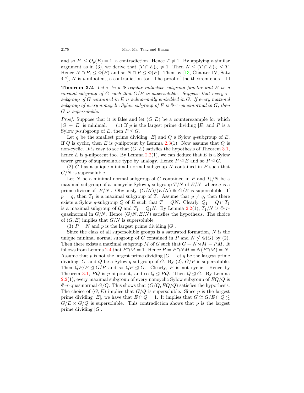and so  $P_1 \leq O_p(E) = 1$ , a contradiction. Hence  $T \neq 1$ . By applying a similar argument as in (3), we derive that  $(T \cap E)_G \neq 1$ . Then  $N \leq (T \cap E)_G \leq T$ . Hence  $N \cap P_1 \leq \Phi(P)$  and so  $N \cap P \leq \Phi(P)$ . Then by [[13,](#page-14-14) Chapter IV, Satz 4.7], *N* is *p*-nilpotent, a contradiction too. The proof of the theorem ends.  $\Box$ 

**Theorem 3.2.** *Let τ be a* Φ*-regular inductive subgroup functor and E be a normal subgroup of G such that G/E is supersoluble. Suppose that every τ subgroup of G contained in E is subnormally embedded in G. If every maximal subgroup of every noncyclic Sylow subgroup of E is* Φ*-τ -quasinormal in G, then G is supersoluble.*

*Proof.* Suppose that it is false and let  $(G, E)$  be a counterexample for which  $|G| + |E|$  is minimal. (1) If *p* is the largest prime dividing  $|E|$  and *P* is a Sylow *p*-subgroup of *E*, then  $P \trianglelefteq G$ .

Let q be the smallest prime dividing  $|E|$  and  $Q$  a Sylow q-subgroup of  $E$ . If *Q* is cyclic, then *E* is *q*-nilpotent by Lemma [2.3](#page-4-0)(1). Now assume that *Q* is non-cyclic. It is easy to see that  $(G, E)$  satisfies the hypothesis of Theorem [3.1](#page-4-1), hence  $E$  is  $q$ -nilpotent too. By Lemma  $2.2(1)$  $2.2(1)$ , we can deduce that  $E$  is a Sylow tower group of supersoluble type by analogy. Hence  $P \leq E$  and so  $P \leq G$ .

(2) *G* has a unique minimal normal subgroup *N* contained in *P* such that *G/N* is supersoluble.

Let *N* be a minimal normal subgroup of *G* contained in *P* and  $T_1/N$  be a maximal subgroup of a noncyclic Sylow *q*-subgroup  $T/N$  of  $E/N$ , where *q* is a prime divisor of  $|E/N|$ . Obviously,  $(G/N)/(E/N) \cong G/E$  is supersoluble. If  $p = q$ , then  $T_1$  is a maximal subgroup of *T*. Assume that  $p \neq q$ , then there exists a Sylow *q*-subgroup *Q* of *E* such that  $T = QN$ . Clearly,  $Q_1 = Q \cap T_1$ is a maximal subgroup of *Q* and  $T_1 = Q_1N$ . By Lemma [2.2](#page-3-1)(1),  $T_1/N$  is  $\Phi$ - $\tau$ quasinormal in  $G/N$ . Hence  $(G/N, E/N)$  satisfies the hypothesis. The choice of  $(G, E)$  implies that  $G/N$  is supersoluble.

(3)  $P = N$  and  $p$  is the largest prime dividing  $|G|$ .

Since the class of all supersoluble groups is a saturated formation, *N* is the unique minimal normal subgroup of *G* contained in *P* and  $N \nleq \Phi(G)$  by (2). Then there exists a maximal subgroup *M* of *G* such that  $G = N \rtimes M = PM$ . It follows from Lemma [2.4](#page-4-2) that  $P \cap M = 1$ . Hence  $P = P \cap NM = N(P \cap M) = N$ . Assume that  $p$  is not the largest prime dividing  $|G|$ . Let  $q$  be the largest prime dividing  $|G|$  and  $Q$  be a Sylow *q*-subgroup of  $G$ . By  $(2)$ ,  $G/P$  is supersoluble. Then  $QP/P \trianglelefteq G/P$  and so  $QP \trianglelefteq G$ . Clearly, P is not cyclic. Hence by Theorem [3.1,](#page-4-1) *PQ* is *p*-nilpotent, and so  $Q \triangleleft PQ$ . Then  $Q \triangleleft G$ . By Lemma [2.2\(](#page-3-1)1), every maximal subgroup of every noncyclic Sylow subgroup of *EQ/Q* is  $\Phi$ - $\tau$ -quasinormal *G/Q*. This shows that  $(G/Q, EQ/Q)$  satisfies the hypothesis. The choice of  $(G, E)$  implies that  $G/Q$  is supersoluble. Since p is the largest prime dividing  $|E|$ , we have that  $E \cap Q = 1$ . It implies that  $G \cong G/E \cap Q \leq$  $G/E \times G/Q$  is supersoluble. This contradiction shows that *p* is the largest prime dividing *|G|*.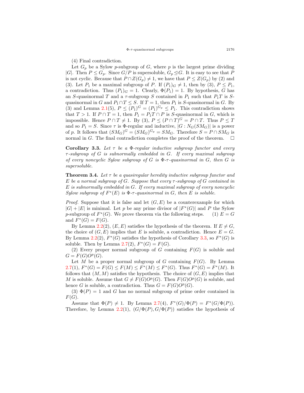(4) Final contradiction.

Let  $G_p$  be a Sylow *p*-subgroup of  $G$ , where  $p$  is the largest prime dividing *|G|*. Then  $P \leq G_p$ . Since  $G/P$  is supersoluble,  $G_p \trianglelefteq G$ . It is easy to see that P is not cyclic. Because that  $P \cap Z(G_p) \neq 1$ , we have that  $P \leq Z(G_p)$  by (2) and (3). Let  $P_1$  be a maximal subgroup of  $P$ . If  $(P_1)_G \neq 1$ , then by (3),  $P \leq P_1$ , a contradiction. Thus  $(P_1)_G = 1$ . Clearly,  $\Phi(P_1) = 1$ . By hypothesis, *G* has an *S*-quasinormal *T* and a  $\tau$ -subgroup *S* contained in  $P_1$  such that  $P_1T$  is *S*quasinormal in *G* and  $P_1 \cap T \leq S$ . If  $T = 1$ , then  $P_1$  is *S*-quasinormal in *G*. By (3) and Lemma [2.1](#page-3-0)(5),  $P \leq (P_1)^G = (P_1)^{G_p} \leq P_1$ . This contradiction shows that  $T > 1$ . If  $P \cap T = 1$ , then  $P_1 = P_1 T \cap P$  is *S*-quasinormal in *G*, which is impossible. Hence  $P \cap T \neq 1$ . By (3),  $P \leq (P \cap T)^G = P \cap T$ . Thus  $P \leq T$ and so  $P_1 = S$ . Since  $\tau$  is  $\Phi$ -regular and inductive,  $|G: N_G(SM_G)|$  is a power of *p*. It follows that  $(SM_G)^G = (SM_G)^{G_p} = SM_G$ . Therefore  $S = P \cap SM_G$  is normal in *G*. The final contradiction completes the proof of the theorem.  $\Box$ 

<span id="page-8-0"></span>**Corollary 3.3.** *Let τ be a* Φ*-regular inductive subgroup functor and every τ -subgroup of G is subnormally embedded in G. If every maximal subgroup of every noncyclic Sylow subgroup of*  $G$  *is*  $\Phi$ - $\tau$ -quasinormal in  $G$ , then  $G$  *is supersoluble.*

<span id="page-8-1"></span>**Theorem 3.4.** *Let τ be a quasiregular heredity inductive subgroup functor and E be a normal subgroup of G. Suppose that every τ -subgroup of G contained in E is subnormally embedded in G. If every maximal subgroup of every noncyclic Sylow subgroup of*  $F^*(E)$  *is*  $\Phi$ -*τ*-*quasinormal in G, then E is soluble.* 

*Proof.* Suppose that it is false and let  $(G, E)$  be a counterexample for which  $|G| + |E|$  is minimal. Let *p* be any prime divisor of  $|F^*(G)|$  and *P* the Sylow *p*-subgroup of  $F^*(G)$ . We prove theorem via the following steps. (1)  $E = G$ and  $F^*(G) = F(G)$ .

By Lemma [2.2\(](#page-3-1)2),  $(E, E)$  satisfies the hypothesis of the theorem. If  $E \neq G$ , the choice of  $(G, E)$  implies that *E* is soluble, a contradiction. Hence  $E = G$ . By Lemma [2.2\(](#page-3-1)2),  $F^*(G)$  satisfies the hypothesis of Corollary [3.3](#page-8-0), so  $F^*(G)$  is soluble. Then by Lemma  $2.7(2)$  $2.7(2)$ ,  $F^*(G) = F(G)$ .

(2) Every proper normal subgroup of *G* containing  $F(G)$  is soluble and  $G = F(G)O^p(G)$ .

Let *M* be a proper normal subgroup of *G* containing  $F(G)$ . By Lemma  $2.7(1), F^*(G) = F(G) \le F(M) \le F^*(M) \le F^*(G)$  $2.7(1), F^*(G) = F(G) \le F(M) \le F^*(M) \le F^*(G)$ . Thus  $F^*(G) = F^*(M)$ . It follows that  $(M, M)$  satisfies the hypothesis. The choice of  $(G, E)$  implies that *M* is soluble. Assume that  $G \neq F(G)O^p(G)$ . Then  $F(G)O^p(G)$  is soluble, and hence *G* is soluble, a contradiction. Thus  $G = F(G)O^p(G)$ .

(3)  $\Phi(P) = 1$  and *G* has no normal subgroup of prime order contained in *F*(*G*).

Assume that  $\Phi(P) \neq 1$ . By Lemma [2.7\(](#page-4-3)4),  $F^*(G)/\Phi(P) = F^*(G/\Phi(P))$ . Therefore, by Lemma [2.2](#page-3-1)(1),  $(G/\Phi(P), G/\Phi(P))$  satisfies the hypothesis of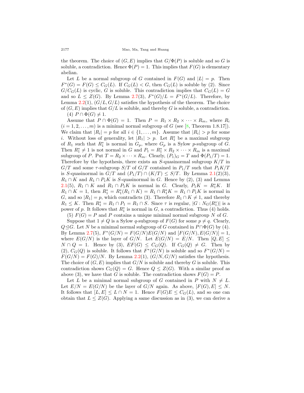the theorem. The choice of  $(G, E)$  implies that  $G/\Phi(P)$  is soluble and so *G* is soluble, a contradiction. Hence  $\Phi(P) = 1$ . This implies that  $F(G)$  is elementary abelian.

Let *L* be a normal subgroup of *G* contained in  $F(G)$  and  $|L| = p$ . Then  $F^*(G) = F(G) \leq C_G(L)$ . If  $C_G(L) < G$ , then  $C_G(L)$  is soluble by (2). Since  $G/C<sub>G</sub>(L)$  is cyclic, *G* is soluble. This contradiction implies that  $C<sub>G</sub>(L) = G$ and so  $L \leq Z(G)$ . By Lemma [2.7](#page-4-3)(3),  $F^*(G)/L = F^*(G/L)$ . Therefore, by Lemma  $2.2(1)$  $2.2(1)$ ,  $(G/L, G/L)$  satisfies the hypothesis of the theorem. The choice of  $(G, E)$  implies that  $G/L$  is soluble, and thereby G is soluble, a contradiction.  $(4)$   $P \cap \Phi(G) \neq 1$ .

Assume that  $P \cap \Phi(G) = 1$ . Then  $P = R_1 \times R_2 \times \cdots \times R_m$ , where  $R_i$  $(i = 1, 2, \ldots, m)$  is a minimal normal subgroup of *G* (see [\[8](#page-14-1), Theorem 1.8.17]). We claim that  $|R_i| = p$  for all  $i \in \{1, \ldots, m\}$ . Assume that  $|R_i| > p$  for some *i*. Without loss of generality, let  $|R_1| > p$ . Let  $R_1^*$  be a maximal subgroup of  $R_1$  such that  $R_1^*$  is normal in  $G_p$ , where  $G_p$  is a Sylow *p*-subgroup of *G*. Then  $R_1^* \neq 1$  is not normal in *G* and  $P_1 = R_1^* \times R_2 \times \cdots \times R_m$  is a maximal subgroup of *P*. Put  $T = R_2 \times \cdots \times R_m$ . Clearly,  $(P_1)_G = T$  and  $\Phi(P_1/T) = 1$ . Therefore by the hypothesis, there exists an *S*-quasinormal subgroup *K/T* in  $G/T$  and some  $\tau$ -subgroup  $S/T$  of  $G/T$  contained in  $P_1/T$  such that  $P_1K/T$ is *S*-quasinormal in  $G/T$  and  $(P_1/T) \cap (K/T) \leq S/T$ . By Lemma [2.1\(](#page-3-0)2)(3), *R*<sub>1</sub> ∩ *K* and *R*<sub>1</sub> ∩ *P*<sub>1</sub>*K* is *S*-quasinormal in *G*. Hence by (2), (3) and Lemma [2.1\(](#page-3-0)5),  $R_1 \cap K$  and  $R_1 \cap P_1 K$  is normal in *G*. Clearly,  $P_1 K = R_1^* K$ . If  $R_1 \cap K = 1$ , then  $R_1^* = R_1^*(R_1 \cap K) = R_1 \cap R_1^*K = R_1 \cap P_1K$  is normal in *G*, and so  $|R_1| = p$ , which contradicts (3). Therefore  $R_1 \cap K \neq 1$ , and thereby  $R_1 \leq K$ . Then  $R_1^* = R_1 \cap P_1 = R_1 \cap S$ . Since  $\tau$  is regular,  $|G : N_G(R_1^*)|$  is a power of *p*. It follows that  $R_1^*$  is normal in  $G$ , a contradiction. Thus (4) holds. (5)  $F(G) = P$  and *P* contains a unique minimal normal subgroup *N* of *G*.

Suppose that  $1 \neq Q$  is a Sylow *q*-subgroup of  $F(G)$  for some  $p \neq q$ . Clearly, *Q*≤*G*. Let *N* be a minimal normal subgroup of *G* contained in  $P \cap \Phi(G)$  by (4). By Lemma [2.7](#page-4-3)(5),  $F^*(G/N) = F(G/N)E(G/N)$  and  $[F(G/N), E(G/N)] = 1$ , where  $E(G/N)$  is the layer of  $G/N$ . Let  $E(G/N) = E/N$ . Then  $[Q, E] \le$  $N \cap Q = 1$ . Hence by (3),  $EF(G) \leq C_G(Q)$ . If  $C_G(Q) \neq G$ . Then by (2),  $C_G(Q)$  is soluble. It follows that  $F^*(G/N)$  is soluble and so  $F^*(G/N)$  =  $F(G/N) = F(G)/N$ . By Lemma [2.2](#page-3-1)(1),  $(G/N, G/N)$  satisfies the hypothesis. The choice of  $(G, E)$  implies that  $G/N$  is soluble and thereby G is soluble. This contradiction shows  $C_G(Q) = G$ . Hence  $Q \leq Z(G)$ . With a similar proof as above (3), we have that *G* is soluble. The contradiction shows  $F(G) = P$ .

Let *L* be a minimal normal subgroup of *G* contained in *P* with  $N \neq L$ . Let  $E/N = E(G/N)$  be the layer of  $G/N$  again. As above,  $[F(G), E] \leq N$ . It follows that  $[L, E] \leq L \cap N = 1$ . Hence  $F(G)E \leq C_G(L)$ , and so one can obtain that  $L \leq Z(G)$ . Applying a same discussion as in (3), we can derive a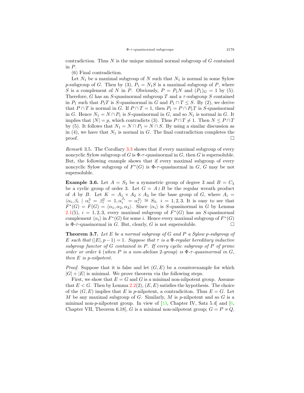contradiction. Thus *N* is the unique minimal normal subgroup of *G* contained in *P*.

(6) Final contradiction.

Let  $N_1$  be a maximal subgroup of  $N$  such that  $N_1$  is normal in some Sylow *p*-subgroup of *G*. Then by (3),  $P_1 = N_1S$  is a maximal subgroup of *P*, where *S* is a complement of *N* in *P*. Obviously,  $P = P_1N$  and  $(P_1)_G = 1$  by (5). Therefore, *G* has an *S*-quasinormal subgroup *T* and a *τ* -subgroup *S* contained in  $P_1$  such that  $P_1T$  is *S*-quasinormal in *G* and  $P_1 \cap T \leq S$ . By (2), we derive that  $P \cap T$  is normal in *G*. If  $P \cap T = 1$ , then  $P_1 = P \cap P_1T$  is *S*-quasinormal in *G*. Hence  $N_1 = N \cap P_1$  is *S*-quasinormal in *G*, and so  $N_1$  is normal in *G*. It implies that  $|N| = p$ , which contradicts (3). Thus  $P \cap T \neq 1$ . Then  $N \leq P \cap T$ by (5). It follows that  $N_1 = N \cap P_1 = N \cap S$ . By using a similar discussion as in  $(4)$ , we have that  $N_1$  is normal in *G*. The final contradiction completes the proof.  $\Box$ 

*Remark* 3.5*.* The Corollary [3.3](#page-8-0) shows that if every maximal subgroup of every noncyclic Sylow subgroup of *G* is  $\Phi$ - $\tau$ -quasinormal in *G*, then *G* is supersoluble. But, the following example shows that if every maximal subgroup of every noncyclic Sylow subgroup of  $F^*(G)$  is  $\Phi$ -*τ*-quasinormal in *G*, *G* may be not supersoluble.

<span id="page-10-1"></span>**Example 3.6.** Let  $A = S_3$  be a symmetric group of degree 3 and  $B = C_3$ be a cyclic group of order 3. Let  $G = A \wr B$  be the regular wreath product of *A* by *B*. Let  $K = A_1 \times A_2 \times A_3$  be the base group of *G*, where  $A_i =$  $\langle \alpha_i, \beta_i | \alpha_i^3 = \beta_i^2 = 1, \alpha_i^{\beta_i} = \alpha_i^2 \rangle \cong S_3$ ,  $i = 1, 2, 3$ . It is easy to see that  $F^*(G) = F(G) = \langle \alpha_1, \alpha_2, \alpha_3 \rangle$ . Since  $\langle \alpha_i \rangle$  is *S*-quasinormal in *G* by Lemma [2.1\(](#page-3-0)5),  $i = 1, 2, 3$ , every maximal subgroup of  $F^*(G)$  has an *S*-quasinormal complement  $\langle \alpha_i \rangle$  in  $F^*(G)$  for some *i*. Hence every maximal subgroup of  $F^*(G)$ is  $\Phi$ - $\tau$ -quasinormal in *G*. But, clearly, *G* is not supersoluble.  $\Box$ 

<span id="page-10-0"></span>**Theorem 3.7.** *Let E be a normal subgroup of G and P a Sylow p-subgroup of E* such that  $(|E|, p-1) = 1$ . Suppose that  $\tau$  is a  $\Phi$ -regular hereditary inductive *subgroup functor of G contained in P. If every cyclic subgroup of P of prime order or order* 4 (*when*  $P$  *is a non-abelian* 2-group) *is*  $\Phi$ - $\tau$ -guasinormal in  $G$ . *then E is p-nilpotent.*

*Proof.* Suppose that it is false and let  $(G, E)$  be a counterexample for which  $|G| + |E|$  is minimal. We prove theorem via the following steps.

First, we show that  $E = G$  and  $G$  is a minimal non-nilpotent group. Assume that  $E < G$ . Then by Lemma [2.2\(](#page-3-1)2),  $(E, E)$  satisfies the hypothesis. The choice of the  $(G, E)$  implies that *E* is *p*-nilpotent, a contradiciton. Thus  $E = G$ . Let *M* be any maximal subgroup of *G*. Similarly, *M* is *p*-nilpotent and so *G* is a minimal non- $p$ -nilpotent group. In view of  $[13,$  $[13,$  Chapter IV, Satz 5.4] and  $[6,$  $[6,$  $[6,$ Chapter VII, Theorem 6.18], *G* is a minimal non-nilpotent group;  $G = P \rtimes Q$ ,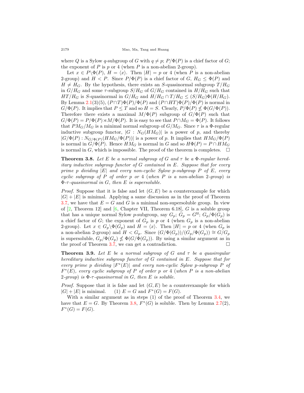where *Q* is a Sylow *q*-subgroup of *G* with  $q \neq p$ ;  $P/\Phi(P)$  is a chief factor of *G*; the exponent of  $P$  is  $p$  or  $4$  (when  $P$  is a non-abelian 2-group).

Let  $x \in P \setminus \Phi(P)$ ,  $H = \langle x \rangle$ . Then  $|H| = p$  or 4 (when *P* is a non-abelian 2-group) and  $H < P$ . Since  $P/\Phi(P)$  is a chief factor of *G*,  $H_G \leq \Phi(P)$  and  $H \neq H_G$ . By the hypothesis, there exists an *S*-quasinormal subgroup  $T/H_G$ in  $G/H_G$  and some  $\tau$ -subgroup  $S/H_G$  of  $G/H_G$  contained in  $H/H_G$  such that *HT*/ $H_G$  is *S*-quasinormal in  $G/H_G$  and  $H/H_G \cap T/H_G \leq (S/H_G)\Phi(H/H_G)$ . By Lemma [2.1\(](#page-3-0)3)(5),  $(P \cap T)\Phi(P)/\Phi(P)$  and  $(P \cap HT)\Phi(P)/\Phi(P)$  is normal in  $G/\Phi(P)$ . It implies that  $P \leq T$  and so  $H = S$ . Clearly,  $P/\Phi(P) \nleq \Phi(G/\Phi(P))$ . Therefore there exists a maximal  $M/\Phi(P)$  subgroup of  $G/\Phi(P)$  such that  $G/\Phi(P) = P/\Phi(P) \rtimes M/\Phi(P)$ . It is easy to see that  $P \cap M_G = \Phi(P)$ . It follows that  $PM_G/M_G$  is a minimal normal subgroup of  $G/M_G$ . Since  $\tau$  is a  $\Phi$ -regular inductive subgroup functor,  $|G : N_G(HM_G)|$  is a power of p, and thereby  $|G/\Phi(P): N_{G/\Phi(P)}(HM_G/\Phi(P))|$  is a power of *p*. It implies that  $HM_G/\Phi(P)$ is normal in  $G/\Phi(P)$ . Hence  $HM_G$  is normal in *G* and so  $H\Phi(P) = P \cap HM_G$ is normal in *G*, which is impossible. The proof of the theorem is completes.  $\Box$ 

<span id="page-11-0"></span>**Theorem 3.8.** Let E be a normal subgroup of G and  $\tau$  be a  $\Phi$ -regular hered*itary inductive subgroup functor of G contained in E. Suppose that for every prime p dividing |E| and every non-cyclic Sylow p-subgroup P of E, every cyclic subgroup of P of order p or* 4 (*when P is a non-abelian* 2*-group*) *is* Φ*-τ -quasinormal in G, then E is supersoluble.*

*Proof.* Suppose that it is false and let  $(G, E)$  be a counterexample for which  $|G| + |E|$  is minimal. Applying a same discussion as in the proof of Theorem [3.7,](#page-10-0) we have that  $E = G$  and G is a minimal non-supersoluble group. In view of [[2,](#page-14-15) Theorem 12] and [\[6](#page-14-0), Chapter VII, Theorem 6.18], *G* is a soluble group that has a unique normal Sylow *p*-subgroup, say  $G_p$ ;  $G_p = G^{\mathfrak{U}}$ ;  $G_p / \Phi(G_p)$  is a chief factor of *G*; the exponent of  $G_p$  is *p* or 4 (when  $G_p$  is a non-abelian 2-group). Let  $x \in G_p \backslash \Phi(G_p)$  and  $H = \langle x \rangle$ . Then  $|H| = p$  or 4 (when  $G_p$  is a non-abelian 2-group) and  $H < G_p$ . Since  $(G/\Phi(G_p))/(G_p/\Phi(G_p)) \cong G/G_p$ is supersoluble,  $G_p/\Phi(G_p) \nleq \Phi(G/\Phi(G_p))$ . By using a similar argument as in the proof of Theorem [3.7](#page-10-0), we can get a contradiction.  $\Box$ 

<span id="page-11-1"></span>**Theorem 3.9.** *Let*  $E$  *be a normal subgroup of*  $G$  *and*  $\tau$  *be a quasiregular hereditary inductive subgroup functor of G contained in E. Suppose that for every prime p dividing |F ∗* (*E*)*| and every non-cyclic Sylow p-subgroup P of F ∗* (*E*)*, every cyclic subgroup of P of order p or* 4 (*when P is a non-abelian* 2-group) is  $\Phi$ - $\tau$ -quasinormal in  $G$ , then  $E$  is soluble.

*Proof.* Suppose that it is false and let  $(G, E)$  be a counterexample for which  $|G| + |E|$  is minimal. *\**(*G*) = *F*(*G*).

With a similar argument as in steps (1) of the proof of Theorem [3.4,](#page-8-1) we have that  $E = G$ . By Theorem [3.8,](#page-11-0)  $F^*(G)$  is soluble. Then by Lemma [2.7\(](#page-4-3)2),  $F^*(G) = F(G).$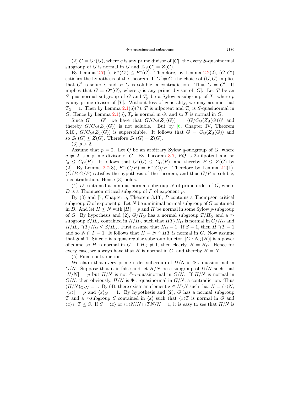(2)  $G = O<sup>q</sup>(G)$ , where *q* is any prime divisor of  $|G|$ , the every *S*-quasinormal subgroup of *G* is normal in *G* and  $Z_{\mathfrak{U}}(G) = Z(G)$ .

By Lemma [2.7\(](#page-4-3)1),  $F^*(G') \leq F^*(G)$ . Therefore, by Lemma [2.2](#page-3-1)(2),  $(G, G')$ satisfies the hypothesis of the theorem. If  $G' \neq G$ , the choice of  $(G, G)$  implies that  $G'$  is soluble, and so  $G$  is soluble, a contradiction. Thus  $G = G'$ . It implies that  $G = O_q(G)$ , where *q* is any prime divisor of  $|G|$ . Let *T* be an *S*-quasinormal subgroup of *G* and *T<sup>p</sup>* be a Sylow *p*-subgroup of *T*, where *p* is any prime divisor of  $|T|$ . Without loss of generality, we may assume that  $T_G = 1$ . Then by Lemma [2.1](#page-3-0)(6)(7), *T* is nilpotent and  $T_p$  is *S*-quasinormal in *G*. Hence by Lemma [2.1\(](#page-3-0)5),  $T_p$  is normal in *G*, and so *T* is normal in *G*.

Since  $G = G'$ , we have that  $G/C_G(Z_{\mathfrak{U}}(G)) = (G/C_G(Z_{\mathfrak{U}}(G)))'$  and thereby  $G/C_G(Z_{\mathfrak{U}}(G))$  is not soluble. But by [[6,](#page-14-0) Chapter IV, Theorem 6.10,  $G/C_G(Z_{\mathfrak{U}}(G))$  is supersoluble. It follows that  $G = C_G(Z_{\mathfrak{U}}(G))$  and so  $Z_{\mathfrak{U}}(G) \leq Z(G)$ . Therefore  $Z_{\mathfrak{U}}(G) = Z(G)$ .

 $(3)$   $p > 2$ .

Assume that  $p = 2$ . Let  $Q$  be an arbitrary Sylow q-subgroup of  $G$ , where  $q \neq 2$  is a prime divisor of *G*. By Theorem [3.7,](#page-10-0) *PQ* is 2-nilpotent and so  $Q \leq C_G(P)$ . It follows that  $O^2(G) \leq C_G(P)$ , and thereby  $P \leq Z(G)$  by (2). By Lemma [2.7](#page-4-3)(3),  $F^*(G/P) = F^*(G)/P$ . Therefore by Lemma [2.2\(](#page-3-1)1),  $(G/P, G/P)$  satisfies the hypothesis of the theorem, and thus  $G/P$  is soluble, a contradiction. Hence (3) holds.

(4) *D* contained a minimal normal subgroup *N* of prime order of *G*, where *D* is a Thompson critical subgroup of *P* of exponent *p*.

By (3) and [[7,](#page-14-11) Chapter 5, Theorem 3.13], *P* contains a Thompson critical subgroup *D* of exponent *p*. Let *N* be a minimal normal subgroup of *G* contained in *D*. And let  $H \leq N$  with  $|H| = p$  and *H* be normal in some Sylow *p*-subgroup of *G*. By hypothesis and (2),  $G/H_G$  has a normal subgroup  $T/H_G$  and a  $\tau$ subgroup  $S/H_G$  contained in  $H/H_G$  such that  $HT/H_G$  is normal in  $G/H_G$  and  $H/H_G \cap T/H_G \leq S/H_G$ . First assume that  $H_G = 1$ . If  $S = 1$ , then  $H \cap T = 1$ and so  $N \cap T = 1$ . It follows that  $H = N \cap HT$  is normal in *G*. Now assume that  $S \neq 1$ . Since  $\tau$  is a quasiregular subgroup functor,  $|G : N_G(H)|$  is a power of *p* and so *H* is normal in *G*. If  $H_G \neq 1$ , then clearly,  $H = H_G$ . Hence for every case, we always have that *H* is normal in *G*, and thereby  $H = N$ .

(5) Final contradiction

We claim that every prime order subgroup of  $D/N$  is  $\Phi$ - $\tau$ -quasinormal in *G/N*. Suppose that it is false and let *H/N* be a subgroup of *D/N* such that  $|H/N| = p$  but  $H/N$  is not  $\Phi$ -*τ*-quasinormal in *G/N*. If  $H/N$  is normal in  $G/N$ , then obviously,  $H/N$  is  $\Phi$ - $\tau$ -quasinormal in  $G/N$ , a contradiction. Thus  $(H/N)_{G/N} = 1$ . By (4), there exists an element  $x \in H\backslash N$  such that  $H = \langle x \rangle N$ ,  $|\langle x \rangle| = p$  and  $\langle x \rangle_G = 1$ . By hypothesis and (2), *G* has a normal subgroup *T* and a *τ*-subgroup *S* contained in  $\langle x \rangle$  such that  $\langle x \rangle T$  is normal in *G* and  $\langle x \rangle$  ∩ *T* ≤ *S*. If *S* =  $\langle x \rangle$  or  $\langle x \rangle$ *N/N* ∩ *TN/N* = 1, it is easy to see that *H/N* is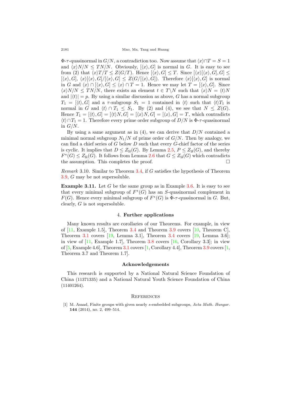2181 Mao, Ma, Tang and Huang

 $\Phi$ - $\tau$ -quasinormal in  $G/N$ , a contradiction too. Now assume that  $\langle x \rangle \cap T = S = 1$ and  $\langle x \rangle N/N \leq TN/N$ . Obviously,  $\langle x \rangle G$  is normal in *G*. It is easy to see from (2) that  $\langle x \rangle T/T \leq Z(G/T)$ . Hence  $[\langle x \rangle, G] \leq T$ . Since  $[\langle x \rangle, G], G] \leq$  $[\langle x \rangle, G], \langle x \rangle [\langle x \rangle, G]/[\langle x \rangle, G] \leq Z(G/[\langle x \rangle, G]).$  Therefore  $\langle x \rangle [\langle x \rangle, G]$  is normal in *G* and  $\langle x \rangle \cap [\langle x \rangle, G] \leq \langle x \rangle \cap T = 1$ . Hence we may let  $T = [\langle x \rangle, G]$ . Since  $\langle x \rangle N/N \leq TN/N$ , there exists an element  $t \in T\backslash N$  such that  $\langle x \rangle N = \langle t \rangle N$ and  $|\langle t \rangle| = p$ . By using a similar discussion as above, *G* has a normal subgroup  $T_1 = \{ \langle t \rangle, G \}$  and a *τ*-subgroup  $S_1 = 1$  contained in  $\langle t \rangle$  such that  $\langle t \rangle T_1$  is normal in *G* and  $\langle t \rangle \cap T_1 \leq S_1$ . By (2) and (4), we see that  $N \leq Z(G)$ . Hence  $T_1 = [\langle t \rangle, G] = [\langle t \rangle N, G] = [\langle x \rangle N, G] = [\langle x \rangle, G] = T$ , which contradicts  $\langle t \rangle \cap T_1 = 1$ . Therefore every prime order subgroup of *D/N* is  $\Phi$ -*τ*-quasinormal in *G/N*.

By using a same argument as in (4), we can derive that *D/N* contained a minimal normal subgroup  $N_1/N$  of prime order of  $G/N$ . Then by analogy, we can find a chief series of *G* below *D* such that every *G*-chief factor of the series is cyclic. It implies that  $D \leq Z_{\mathfrak{U}}(G)$ . By Lemma [2.5](#page-4-4),  $P \leq Z_{\mathfrak{U}}(G)$ , and thereby  $F^*(G) \leq Z_{\mathfrak{U}}(G)$ . It follows from Lemma [2.6](#page-4-5) that  $G \leq Z_{\mathfrak{U}}(G)$  which contradicts the assumption. This completes the proof.  $\Box$ 

*Remark* 3.10*.* Similar to Theorem [3.4](#page-8-1), if *G* satisfies the hypothesis of Theorem [3.9,](#page-11-1) *G* may be not supersoluble.

**Example 3.11.** Let *G* be the same group as in Example [3.6.](#page-10-1) It is easy to see that every minimal subgroup of  $F^*(G)$  has an *S*-quasinormal complement in *F*(*G*). Hence every minimal subgroup of  $F^*(G)$  is  $\Phi$ -*τ*-quasinormal in *G*. But, clearly, *G* is not supersoluble.

#### 4. **Further applications**

Many known results are corollaries of our Theorems. For example, in view of  $[11, \text{Example } 1.5]$  $[11, \text{Example } 1.5]$  $[11, \text{Example } 1.5]$ , Theorem [3.4](#page-8-1) and Theorem [3.9](#page-11-1) covers  $[10, \text{Theorem } C]$  $[10, \text{Theorem } C]$  $[10, \text{Theorem } C]$ , Theorem [3.1](#page-4-1) covers  $[19, \text{ Lemma } 3.1]$  $[19, \text{ Lemma } 3.1]$  $[19, \text{ Lemma } 3.1]$ , Theorem [3.4](#page-8-1) covers  $[19, \text{Lemma } 3.6]$  $[19, \text{Lemma } 3.6]$ ; in view of  $\left|11, \right.$  $\left|11, \right.$  $\left|11, \right.$  Example 1.7, Theorem [3.8](#page-11-0) covers  $\left|16, \right.$  Corollary 3.3; in view of  $[5, Example 4.6]$  $[5, Example 4.6]$ , Theorem [3.1](#page-4-1) covers  $[1, Corollary 4.4]$  $[1, Corollary 4.4]$ , Theorem [3.9](#page-11-1) covers  $[1,$ Theorem 3.7 and Theorem 1.7].

#### **Acknowledgements**

This research is supported by a National Natural Science Foundation of China (11371335) and a National Natural Youth Science Foundation of China (11401264).

#### **REFERENCES**

<span id="page-13-0"></span>[1] M. Asaad, Finite groups with given nearly *s*-embedded subgroups, *Acta Math. Hungar.* **144** (2014), no. 2, 499–514.